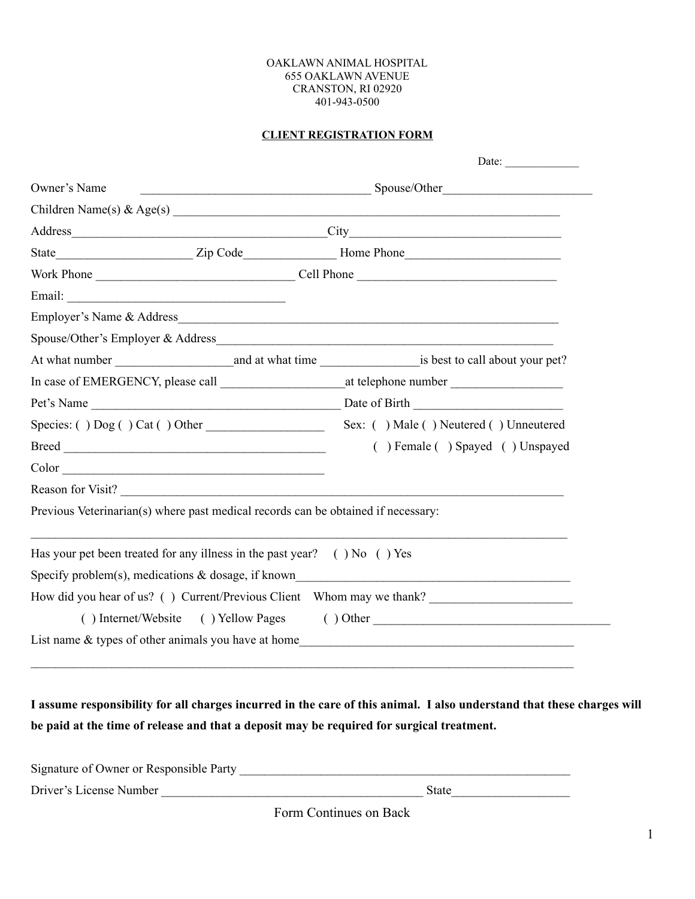### OAKLAWN ANIMAL HOSPITAL 655 OAKLAWN AVENUE CRANSTON, RI 02920 401-943-0500

### **CLIENT REGISTRATION FORM**

|              |                                                                                   | Date: $\qquad \qquad$                                                 |  |
|--------------|-----------------------------------------------------------------------------------|-----------------------------------------------------------------------|--|
| Owner's Name |                                                                                   |                                                                       |  |
|              |                                                                                   | Children Name(s) & $Age(s)$                                           |  |
|              |                                                                                   |                                                                       |  |
|              |                                                                                   |                                                                       |  |
|              |                                                                                   |                                                                       |  |
|              |                                                                                   |                                                                       |  |
|              |                                                                                   | Employer's Name & Address                                             |  |
|              |                                                                                   | Spouse/Other's Employer & Address                                     |  |
|              |                                                                                   |                                                                       |  |
|              |                                                                                   |                                                                       |  |
|              |                                                                                   |                                                                       |  |
|              |                                                                                   |                                                                       |  |
|              |                                                                                   | () Female () Spayed () Unspayed                                       |  |
|              | Color                                                                             |                                                                       |  |
|              |                                                                                   | Reason for Visit?                                                     |  |
|              | Previous Veterinarian(s) where past medical records can be obtained if necessary: |                                                                       |  |
|              | Has your pet been treated for any illness in the past year? $( )$ No $( )$ Yes    |                                                                       |  |
|              |                                                                                   | Specify problem(s), medications & dosage, if known                    |  |
|              |                                                                                   | How did you hear of us? () Current/Previous Client Whom may we thank? |  |
|              |                                                                                   | () Internet/Website () Yellow Pages () Other                          |  |
|              |                                                                                   |                                                                       |  |

**I assume responsibility for all charges incurred in the care of this animal. I also understand that these charges will be paid at the time of release and that a deposit may be required for surgical treatment.**

| Signature of Owner or Responsible Party |       |
|-----------------------------------------|-------|
| Driver's License Number                 | State |

Form Continues on Back